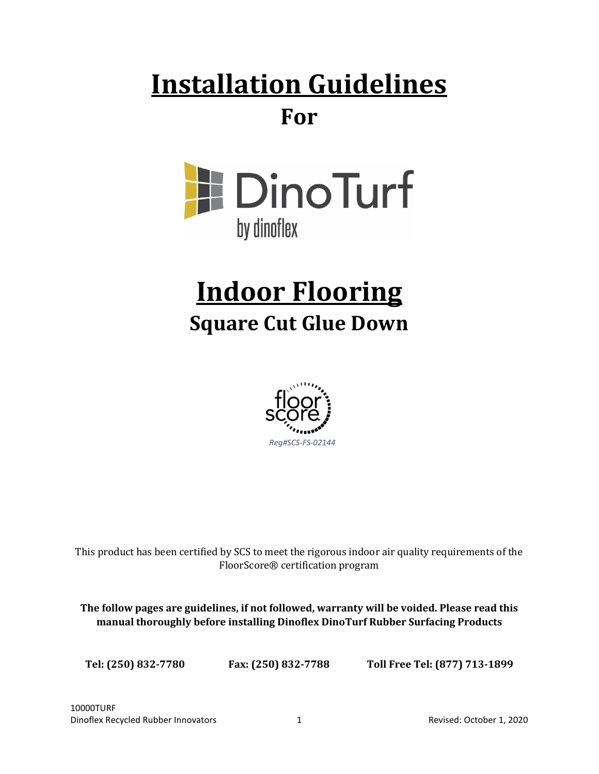# **Installation Guidelines For**



# **Indoor Flooring Square Cut Glue Down**



This product has been certified by SCS to meet the rigorous indoor air quality requirements of the FloorScore® certification program

**The follow pages are guidelines, if not followed, warranty will be voided. Please read this manual thoroughly before installing Dinoflex DinoTurf Rubber Surfacing Products**

**Tel: (250) 832-7780 Fax: (250) 832-7788 Toll Free Tel: (877) 713-1899**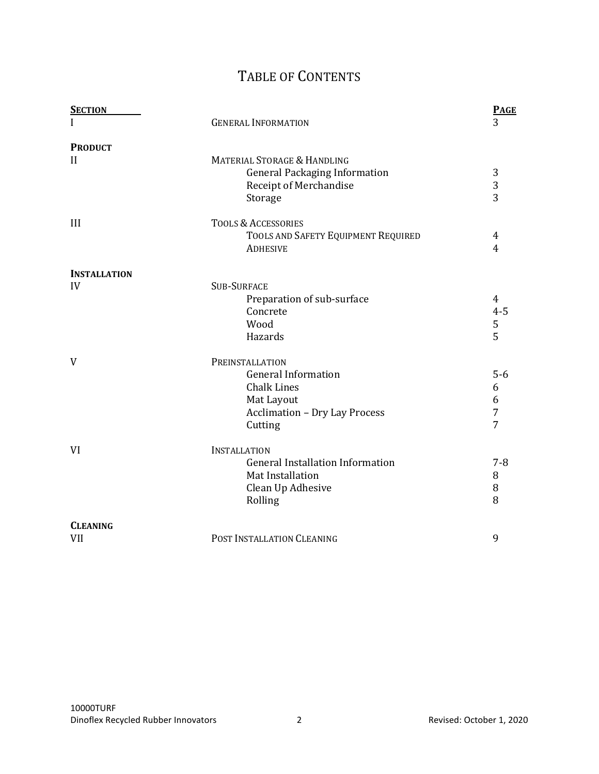# TABLE OF CONTENTS

| <b>SECTION</b>      |                                         | <b>PAGE</b>    |
|---------------------|-----------------------------------------|----------------|
|                     | <b>GENERAL INFORMATION</b>              | 3              |
| <b>PRODUCT</b>      |                                         |                |
| $\mathbf{H}$        | MATERIAL STORAGE & HANDLING             |                |
|                     | <b>General Packaging Information</b>    | 3              |
|                     | Receipt of Merchandise                  | 3              |
|                     | Storage                                 | $\overline{3}$ |
| III                 | <b>TOOLS &amp; ACCESSORIES</b>          |                |
|                     | TOOLS AND SAFETY EQUIPMENT REQUIRED     | 4              |
|                     | <b>ADHESIVE</b>                         | $\overline{4}$ |
| <b>INSTALLATION</b> |                                         |                |
| IV                  | <b>SUB-SURFACE</b>                      |                |
|                     | Preparation of sub-surface              | $\overline{4}$ |
|                     | Concrete                                | $4 - 5$        |
|                     | Wood                                    | $\frac{5}{5}$  |
|                     | Hazards                                 |                |
| V                   | PREINSTALLATION                         |                |
|                     | <b>General Information</b>              | $5-6$          |
|                     | <b>Chalk Lines</b>                      | 6              |
|                     | Mat Layout                              | 6              |
|                     | <b>Acclimation - Dry Lay Process</b>    | $\overline{7}$ |
|                     | Cutting                                 | $\overline{7}$ |
| VI                  | <b>INSTALLATION</b>                     |                |
|                     | <b>General Installation Information</b> | $7 - 8$        |
|                     | Mat Installation                        | 8              |
|                     | Clean Up Adhesive                       | 8              |
|                     | Rolling                                 | 8              |
| <b>CLEANING</b>     |                                         |                |
| <b>VII</b>          | POST INSTALLATION CLEANING              | 9              |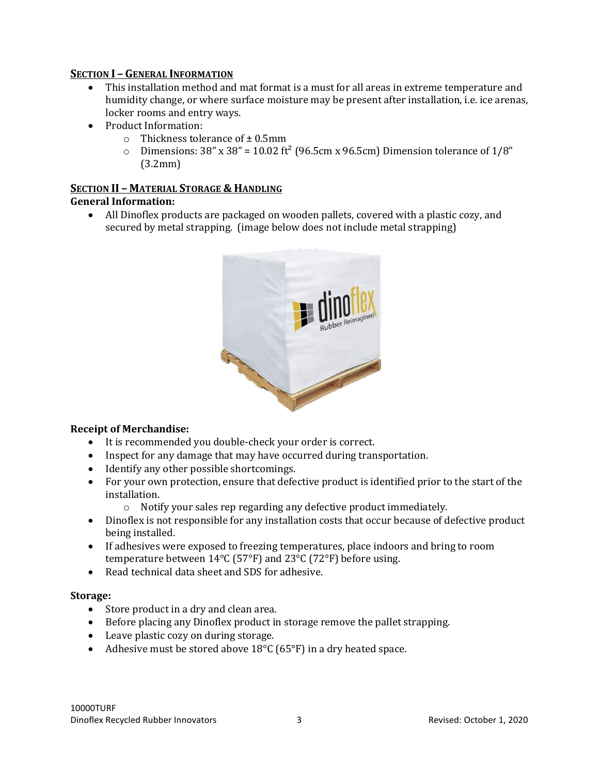#### **SECTION I – GENERAL INFORMATION**

- This installation method and mat format is a must for all areas in extreme temperature and humidity change, or where surface moisture may be present after installation, i.e. ice arenas, locker rooms and entry ways.
- Product Information:
	- $\circ$  Thickness tolerance of  $\pm$  0.5mm
	- o Dimensions:  $38''$  x  $38'' = 10.02$  ft<sup>2</sup> (96.5cm x 96.5cm) Dimension tolerance of  $1/8''$ (3.2mm)

# **SECTION II – MATERIAL STORAGE & HANDLING**

#### **General Information:**

• All Dinoflex products are packaged on wooden pallets, covered with a plastic cozy, and secured by metal strapping. (image below does not include metal strapping)



#### **Receipt of Merchandise:**

- It is recommended you double-check your order is correct.
- Inspect for any damage that may have occurred during transportation.
- Identify any other possible shortcomings.
- For your own protection, ensure that defective product is identified prior to the start of the installation.
	- o Notify your sales rep regarding any defective product immediately.
- Dinoflex is not responsible for any installation costs that occur because of defective product being installed.
- If adhesives were exposed to freezing temperatures, place indoors and bring to room temperature between 14°C (57°F) and 23°C (72°F) before using.
- Read technical data sheet and SDS for adhesive.

#### **Storage:**

- Store product in a dry and clean area.
- Before placing any Dinoflex product in storage remove the pallet strapping.
- Leave plastic cozy on during storage.
- Adhesive must be stored above 18°C (65°F) in a dry heated space.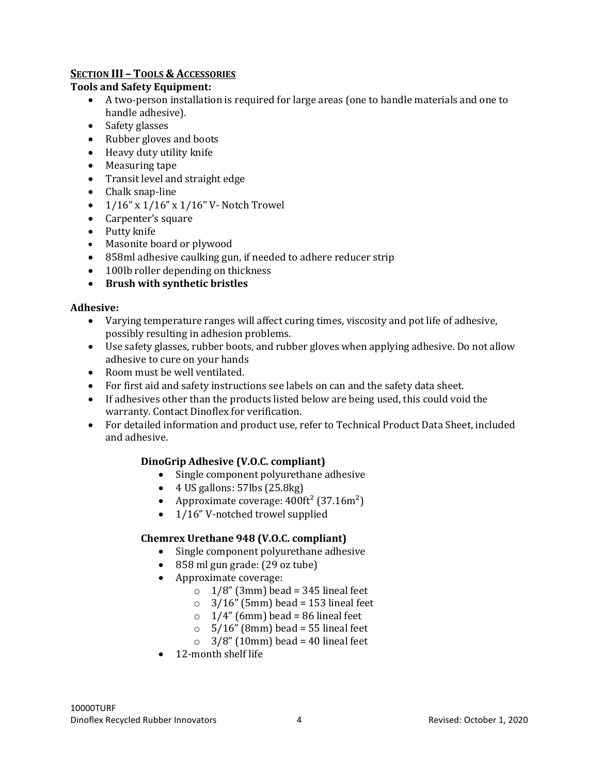# **SECTION III – TOOLS & ACCESSORIES**

#### **Tools and Safety Equipment:**

- A two-person installation is required for large areas (one to handle materials and one to handle adhesive).
- Safety glasses
- Rubber gloves and boots
- Heavy duty utility knife
- Measuring tape
- Transit level and straight edge
- Chalk snap-line
- $1/16$ " x  $1/16$ " x  $1/16$ " V Notch Trowel
- Carpenter's square
- Putty knife
- Masonite board or plywood
- 858ml adhesive caulking gun, if needed to adhere reducer strip
- 100lb roller depending on thickness
- **Brush with synthetic bristles**

# **Adhesive:**

- Varying temperature ranges will affect curing times, viscosity and pot life of adhesive, possibly resulting in adhesion problems.
- Use safety glasses, rubber boots, and rubber gloves when applying adhesive. Do not allow adhesive to cure on your hands
- Room must be well ventilated.
- For first aid and safety instructions see labels on can and the safety data sheet.
- If adhesives other than the products listed below are being used, this could void the warranty. Contact Dinoflex for verification.
- For detailed information and product use, refer to Technical Product Data Sheet, included and adhesive.

# **DinoGrip Adhesive (V.O.C. compliant)**

- Single component polyurethane adhesive
- $\bullet$  4 US gallons: 57lbs (25.8kg)
- Approximate coverage:  $400 \text{ft}^2$  (37.16m<sup>2</sup>)
- 1/16" V-notched trowel supplied

# **Chemrex Urethane 948 (V.O.C. compliant)**

- Single component polyurethane adhesive
- 858 ml gun grade: (29 oz tube)
- Approximate coverage:
	- $\circ$  1/8" (3mm) bead = 345 lineal feet
	- $\degree$  3/16" (5mm) bead = 153 lineal feet
	- $\circ$  1/4" (6mm) bead = 86 lineal feet
	- $\circ$  5/16" (8mm) bead = 55 lineal feet
	- $\degree$  3/8" (10mm) bead = 40 lineal feet
- 12-month shelf life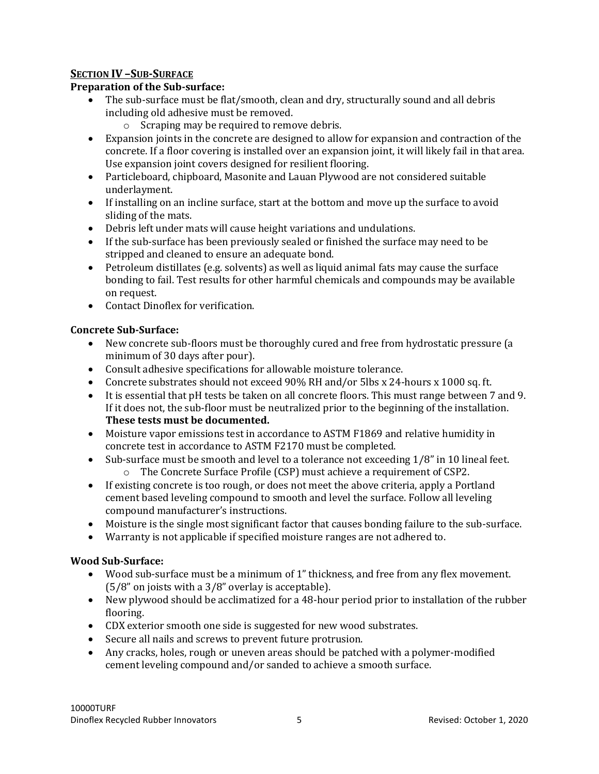# **SECTION IV –SUB-SURFACE**

#### **Preparation of the Sub-surface:**

- The sub-surface must be flat/smooth, clean and dry, structurally sound and all debris including old adhesive must be removed.
	- o Scraping may be required to remove debris.
- Expansion joints in the concrete are designed to allow for expansion and contraction of the concrete. If a floor covering is installed over an expansion joint, it will likely fail in that area. Use expansion joint covers designed for resilient flooring.
- Particleboard, chipboard, Masonite and Lauan Plywood are not considered suitable underlayment.
- If installing on an incline surface, start at the bottom and move up the surface to avoid sliding of the mats.
- Debris left under mats will cause height variations and undulations.
- If the sub-surface has been previously sealed or finished the surface may need to be stripped and cleaned to ensure an adequate bond.
- Petroleum distillates (e.g. solvents) as well as liquid animal fats may cause the surface bonding to fail. Test results for other harmful chemicals and compounds may be available on request.
- Contact Dinoflex for verification.

# **Concrete Sub-Surface:**

- New concrete sub-floors must be thoroughly cured and free from hydrostatic pressure (a minimum of 30 days after pour).
- Consult adhesive specifications for allowable moisture tolerance.
- Concrete substrates should not exceed 90% RH and/or 5lbs x 24-hours x 1000 sq. ft.
- It is essential that pH tests be taken on all concrete floors. This must range between 7 and 9. If it does not, the sub-floor must be neutralized prior to the beginning of the installation. **These tests must be documented.**
- Moisture vapor emissions test in accordance to ASTM F1869 and relative humidity in concrete test in accordance to ASTM F2170 must be completed.
- Sub-surface must be smooth and level to a tolerance not exceeding 1/8" in 10 lineal feet. o The Concrete Surface Profile (CSP) must achieve a requirement of CSP2.
- If existing concrete is too rough, or does not meet the above criteria, apply a Portland cement based leveling compound to smooth and level the surface. Follow all leveling compound manufacturer's instructions.
- Moisture is the single most significant factor that causes bonding failure to the sub-surface.
- Warranty is not applicable if specified moisture ranges are not adhered to.

#### **Wood Sub-Surface:**

- Wood sub-surface must be a minimum of 1" thickness, and free from any flex movement. (5/8" on joists with a 3/8" overlay is acceptable).
- New plywood should be acclimatized for a 48-hour period prior to installation of the rubber flooring.
- CDX exterior smooth one side is suggested for new wood substrates.
- Secure all nails and screws to prevent future protrusion.
- Any cracks, holes, rough or uneven areas should be patched with a polymer-modified cement leveling compound and/or sanded to achieve a smooth surface.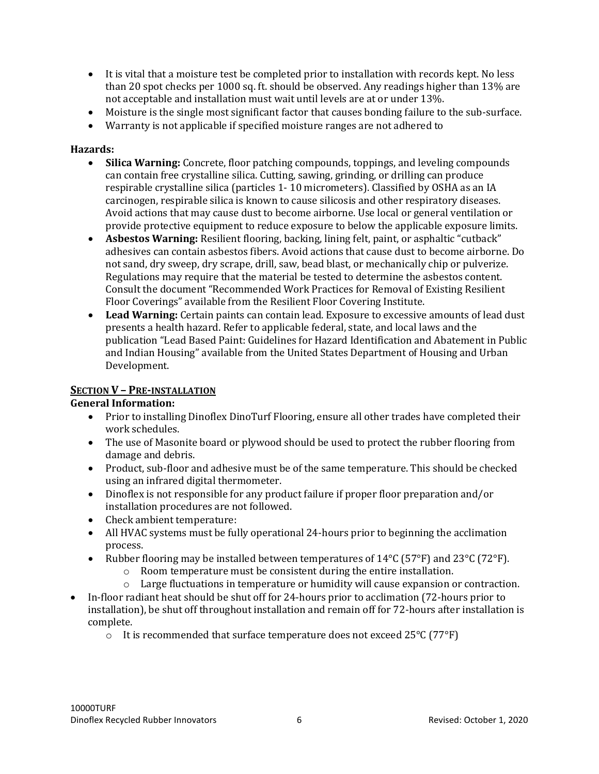- It is vital that a moisture test be completed prior to installation with records kept. No less than 20 spot checks per 1000 sq. ft. should be observed. Any readings higher than 13% are not acceptable and installation must wait until levels are at or under 13%.
- Moisture is the single most significant factor that causes bonding failure to the sub-surface.
- Warranty is not applicable if specified moisture ranges are not adhered to

#### **Hazards:**

- **Silica Warning:** Concrete, floor patching compounds, toppings, and leveling compounds can contain free crystalline silica. Cutting, sawing, grinding, or drilling can produce respirable crystalline silica (particles 1- 10 micrometers). Classified by OSHA as an IA carcinogen, respirable silica is known to cause silicosis and other respiratory diseases. Avoid actions that may cause dust to become airborne. Use local or general ventilation or provide protective equipment to reduce exposure to below the applicable exposure limits.
- **Asbestos Warning:** Resilient flooring, backing, lining felt, paint, or asphaltic "cutback" adhesives can contain asbestos fibers. Avoid actions that cause dust to become airborne. Do not sand, dry sweep, dry scrape, drill, saw, bead blast, or mechanically chip or pulverize. Regulations may require that the material be tested to determine the asbestos content. Consult the document "Recommended Work Practices for Removal of Existing Resilient Floor Coverings" available from the Resilient Floor Covering Institute.
- **Lead Warning:** Certain paints can contain lead. Exposure to excessive amounts of lead dust presents a health hazard. Refer to applicable federal, state, and local laws and the publication "Lead Based Paint: Guidelines for Hazard Identification and Abatement in Public and Indian Housing" available from the United States Department of Housing and Urban Development.

# **SECTION V – PRE-INSTALLATION**

#### **General Information:**

- Prior to installing Dinoflex DinoTurf Flooring, ensure all other trades have completed their work schedules.
- The use of Masonite board or plywood should be used to protect the rubber flooring from damage and debris.
- Product, sub-floor and adhesive must be of the same temperature. This should be checked using an infrared digital thermometer.
- Dinoflex is not responsible for any product failure if proper floor preparation and/or installation procedures are not followed.
- Check ambient temperature:
- All HVAC systems must be fully operational 24-hours prior to beginning the acclimation process.
- Rubber flooring may be installed between temperatures of 14°C (57°F) and 23°C (72°F).
	- o Room temperature must be consistent during the entire installation.
	- $\circ$  Large fluctuations in temperature or humidity will cause expansion or contraction.
- In-floor radiant heat should be shut off for 24-hours prior to acclimation (72-hours prior to installation), be shut off throughout installation and remain off for 72-hours after installation is complete.
	- $\circ$  It is recommended that surface temperature does not exceed 25 $\degree$ C (77 $\degree$ F)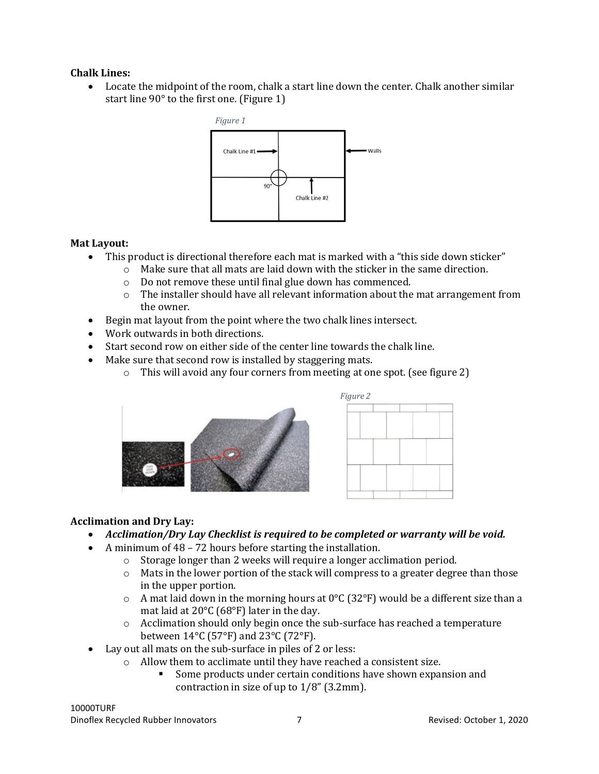#### **Chalk Lines:**

• Locate the midpoint of the room, chalk a start line down the center. Chalk another similar start line 90° to the first one. (Figure 1)



#### **Mat Layout:**

- This product is directional therefore each mat is marked with a "this side down sticker"
	- o Make sure that all mats are laid down with the sticker in the same direction.
		- o Do not remove these until final glue down has commenced.
		- $\circ$  The installer should have all relevant information about the mat arrangement from the owner.
- Begin mat layout from the point where the two chalk lines intersect.
- Work outwards in both directions.
- Start second row on either side of the center line towards the chalk line.
- Make sure that second row is installed by staggering mats.
	- o This will avoid any four corners from meeting at one spot. (see figure 2)





#### **Acclimation and Dry Lay:**

- *Acclimation/Dry Lay Checklist is required to be completed or warranty will be void.*
- A minimum of 48 72 hours before starting the installation.
	- o Storage longer than 2 weeks will require a longer acclimation period.
	- $\circ$  Mats in the lower portion of the stack will compress to a greater degree than those in the upper portion.
	- $\circ$  A mat laid down in the morning hours at 0°C (32°F) would be a different size than a mat laid at 20°C (68°F) later in the day.
	- o Acclimation should only begin once the sub-surface has reached a temperature between 14°C (57°F) and 23°C (72°F).
- Lay out all mats on the sub-surface in piles of 2 or less:
	- o Allow them to acclimate until they have reached a consistent size.
		- Some products under certain conditions have shown expansion and contraction in size of up to 1/8" (3.2mm).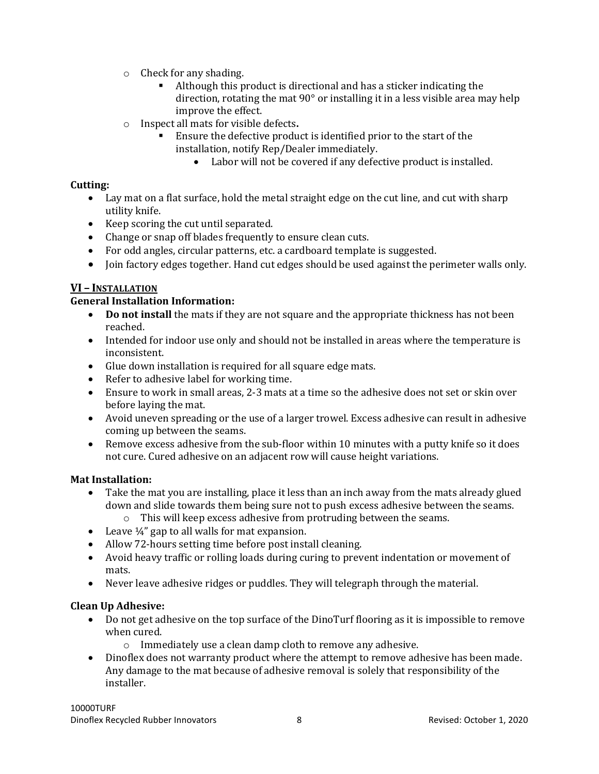- o Check for any shading.
	- Although this product is directional and has a sticker indicating the direction, rotating the mat 90° or installing it in a less visible area may help improve the effect.
- o Inspect all mats for visible defects**.**
	- Ensure the defective product is identified prior to the start of the installation, notify Rep/Dealer immediately.
		- Labor will not be covered if any defective product is installed.

# **Cutting:**

- Lay mat on a flat surface, hold the metal straight edge on the cut line, and cut with sharp utility knife.
- Keep scoring the cut until separated.
- Change or snap off blades frequently to ensure clean cuts.
- For odd angles, circular patterns, etc. a cardboard template is suggested.
- Join factory edges together. Hand cut edges should be used against the perimeter walls only.

# **VI – INSTALLATION**

# **General Installation Information:**

- **Do not install** the mats if they are not square and the appropriate thickness has not been reached.
- Intended for indoor use only and should not be installed in areas where the temperature is inconsistent.
- Glue down installation is required for all square edge mats.
- Refer to adhesive label for working time.
- Ensure to work in small areas, 2-3 mats at a time so the adhesive does not set or skin over before laying the mat.
- Avoid uneven spreading or the use of a larger trowel. Excess adhesive can result in adhesive coming up between the seams.
- Remove excess adhesive from the sub-floor within 10 minutes with a putty knife so it does not cure. Cured adhesive on an adjacent row will cause height variations.

# **Mat Installation:**

- Take the mat you are installing, place it less than an inch away from the mats already glued down and slide towards them being sure not to push excess adhesive between the seams.
	- o This will keep excess adhesive from protruding between the seams.
- Leave  $\frac{1}{4}$ " gap to all walls for mat expansion.
- Allow 72-hours setting time before post install cleaning.
- Avoid heavy traffic or rolling loads during curing to prevent indentation or movement of mats.
- Never leave adhesive ridges or puddles. They will telegraph through the material.

# **Clean Up Adhesive:**

- Do not get adhesive on the top surface of the DinoTurf flooring as it is impossible to remove when cured.
	- o Immediately use a clean damp cloth to remove any adhesive.
- Dinoflex does not warranty product where the attempt to remove adhesive has been made. Any damage to the mat because of adhesive removal is solely that responsibility of the installer.